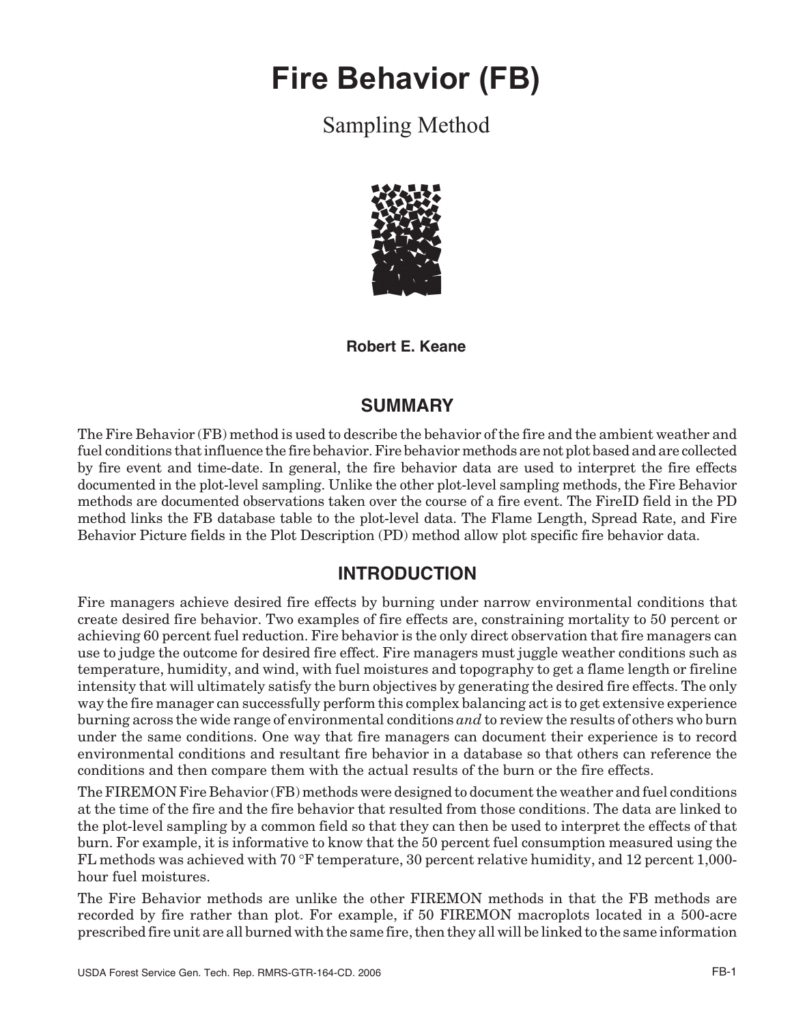# **Fire Behavior (FB)**

# Sampling Method



**Robert E. Keane**

## **SUMMARY**

The Fire Behavior (FB) method is used to describe the behavior of the fire and the ambient weather and fuel conditions that influence the fire behavior. Fire behavior methods are not plot based and are collected by fire event and time-date. In general, the fire behavior data are used to interpret the fire effects documented in the plot-level sampling. Unlike the other plot-level sampling methods, the Fire Behavior methods are documented observations taken over the course of a fire event. The FireID field in the PD method links the FB database table to the plot-level data. The Flame Length, Spread Rate, and Fire Behavior Picture fields in the Plot Description (PD) method allow plot specific fire behavior data.

## **INTRODUCTION**

Fire managers achieve desired fire effects by burning under narrow environmental conditions that create desired fire behavior. Two examples of fire effects are, constraining mortality to 50 percent or achieving 60 percent fuel reduction. Fire behavior is the only direct observation that fire managers can use to judge the outcome for desired fire effect. Fire managers must juggle weather conditions such as temperature, humidity, and wind, with fuel moistures and topography to get a flame length or fireline intensity that will ultimately satisfy the burn objectives by generating the desired fire effects. The only way the fire manager can successfully perform this complex balancing act is to get extensive experience burning across the wide range of environmental conditions *and* to review the results of others who burn under the same conditions. One way that fire managers can document their experience is to record environmental conditions and resultant fire behavior in a database so that others can reference the conditions and then compare them with the actual results of the burn or the fire effects.

The FIREMON Fire Behavior (FB) methods were designed to document the weather and fuel conditions at the time of the fire and the fire behavior that resulted from those conditions. The data are linked to the plot-level sampling by a common field so that they can then be used to interpret the effects of that burn. For example, it is informative to know that the 50 percent fuel consumption measured using the FL methods was achieved with 70 ∞F temperature, 30 percent relative humidity, and 12 percent 1,000 hour fuel moistures.

The Fire Behavior methods are unlike the other FIREMON methods in that the FB methods are recorded by fire rather than plot. For example, if 50 FIREMON macroplots located in a 500-acre prescribed fire unit are all burned with the same fire, then they all will be linked to the same information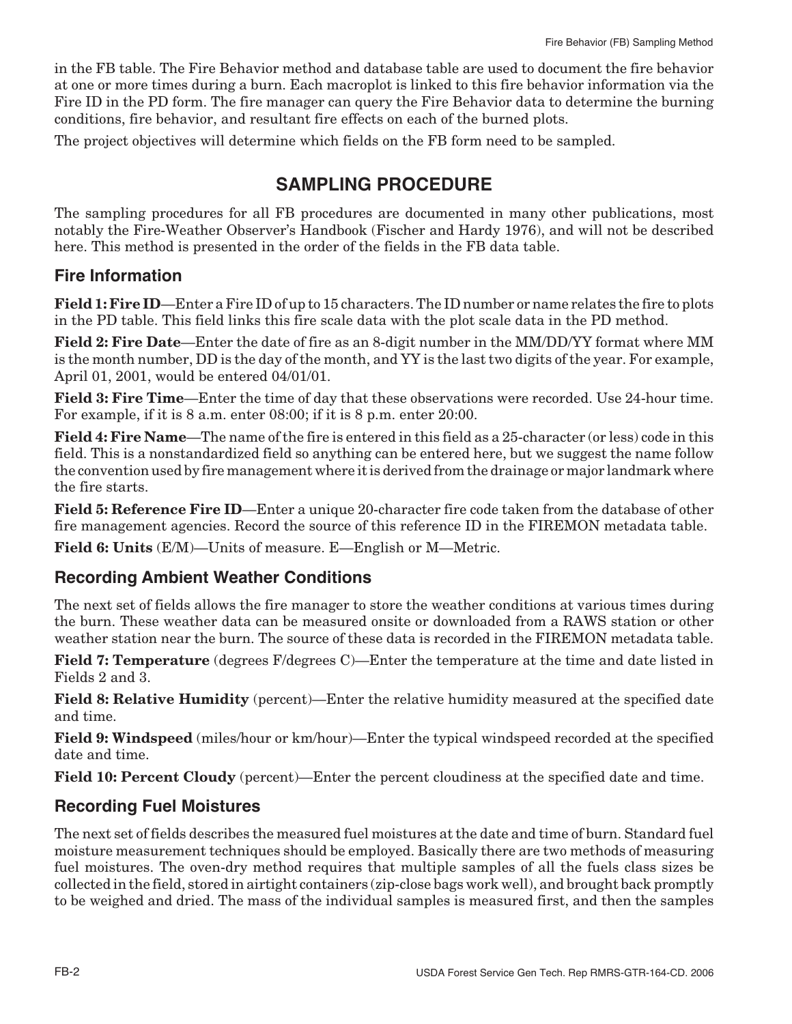in the FB table. The Fire Behavior method and database table are used to document the fire behavior at one or more times during a burn. Each macroplot is linked to this fire behavior information via the Fire ID in the PD form. The fire manager can query the Fire Behavior data to determine the burning conditions, fire behavior, and resultant fire effects on each of the burned plots.

The project objectives will determine which fields on the FB form need to be sampled.

# **SAMPLING PROCEDURE**

The sampling procedures for all FB procedures are documented in many other publications, most notably the Fire-Weather Observer's Handbook (Fischer and Hardy 1976), and will not be described here. This method is presented in the order of the fields in the FB data table.

#### **Fire Information**

**Field 1: Fire ID**—Enter a Fire ID of up to 15 characters. The ID number or name relates the fire to plots in the PD table. This field links this fire scale data with the plot scale data in the PD method.

**Field 2: Fire Date**—Enter the date of fire as an 8-digit number in the MM/DD/YY format where MM is the month number, DD is the day of the month, and YY is the last two digits of the year. For example, April 01, 2001, would be entered 04/01/01.

**Field 3: Fire Time**—Enter the time of day that these observations were recorded. Use 24-hour time. For example, if it is 8 a.m. enter 08:00; if it is 8 p.m. enter 20:00.

**Field 4: Fire Name**—The name of the fire is entered in this field as a 25-character (or less) code in this field. This is a nonstandardized field so anything can be entered here, but we suggest the name follow the convention used by fire management where it is derived from the drainage or major landmark where the fire starts.

**Field 5: Reference Fire ID**—Enter a unique 20-character fire code taken from the database of other fire management agencies. Record the source of this reference ID in the FIREMON metadata table.

**Field 6: Units** (E/M)—Units of measure. E—English or M—Metric.

#### **Recording Ambient Weather Conditions**

The next set of fields allows the fire manager to store the weather conditions at various times during the burn. These weather data can be measured onsite or downloaded from a RAWS station or other weather station near the burn. The source of these data is recorded in the FIREMON metadata table.

**Field 7: Temperature** (degrees F/degrees C)—Enter the temperature at the time and date listed in Fields 2 and 3.

**Field 8: Relative Humidity** (percent)—Enter the relative humidity measured at the specified date and time.

**Field 9: Windspeed** (miles/hour or km/hour)—Enter the typical windspeed recorded at the specified date and time.

**Field 10: Percent Cloudy** (percent)—Enter the percent cloudiness at the specified date and time.

#### **Recording Fuel Moistures**

The next set of fields describes the measured fuel moistures at the date and time of burn. Standard fuel moisture measurement techniques should be employed. Basically there are two methods of measuring fuel moistures. The oven-dry method requires that multiple samples of all the fuels class sizes be collected in the field, stored in airtight containers (zip-close bags work well), and brought back promptly to be weighed and dried. The mass of the individual samples is measured first, and then the samples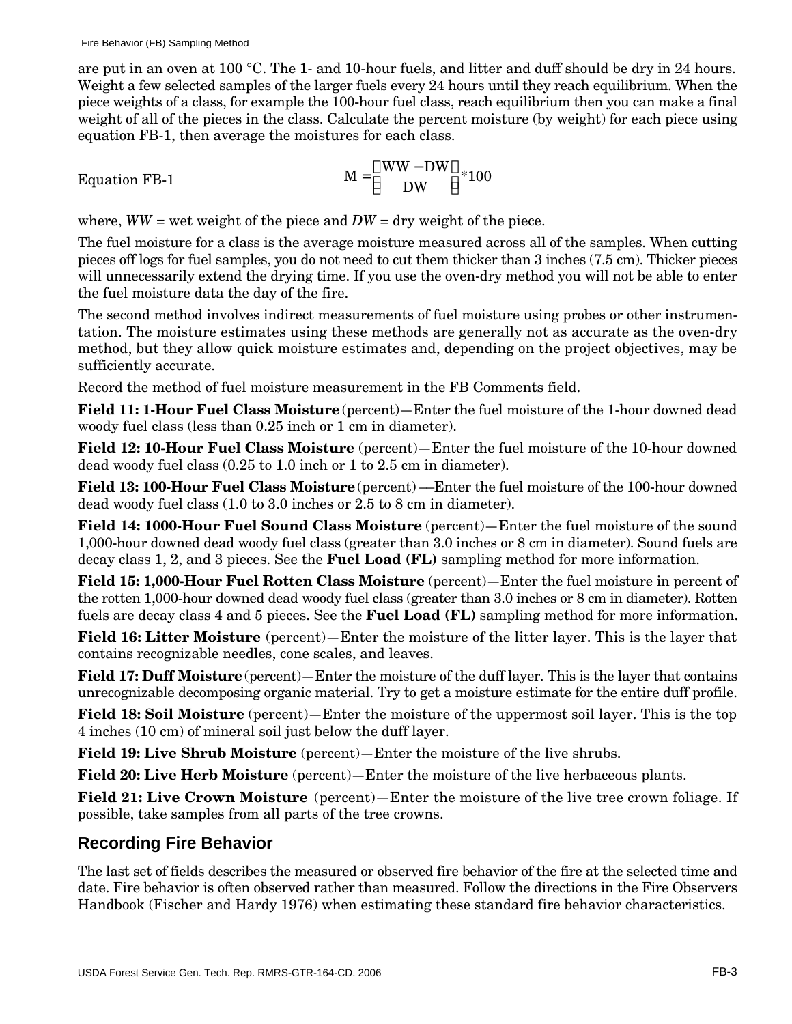are put in an oven at 100 °C. The 1- and 10-hour fuels, and litter and duff should be dry in 24 hours. Weight a few selected samples of the larger fuels every 24 hours until they reach equilibrium. When the piece weights of a class, for example the 100-hour fuel class, reach equilibrium then you can make a final weight of all of the pieces in the class. Calculate the percent moisture (by weight) for each piece using equation FB-1, then average the moistures for each class.

Equation FB-1 
$$
M = \frac{WW - DW}{DW} * 100
$$

where,  $WW =$  wet weight of the piece and  $DW =$  dry weight of the piece.

The fuel moisture for a class is the average moisture measured across all of the samples. When cutting pieces off logs for fuel samples, you do not need to cut them thicker than 3 inches (7.5 cm). Thicker pieces will unnecessarily extend the drying time. If you use the oven-dry method you will not be able to enter the fuel moisture data the day of the fire.

The second method involves indirect measurements of fuel moisture using probes or other instrumentation. The moisture estimates using these methods are generally not as accurate as the oven-dry method, but they allow quick moisture estimates and, depending on the project objectives, may be sufficiently accurate.

Record the method of fuel moisture measurement in the FB Comments field.

**Field 11: 1-Hour Fuel Class Moisture** (percent)—Enter the fuel moisture of the 1-hour downed dead woody fuel class (less than 0.25 inch or 1 cm in diameter).

**Field 12: 10-Hour Fuel Class Moisture** (percent)—Enter the fuel moisture of the 10-hour downed dead woody fuel class (0.25 to 1.0 inch or 1 to 2.5 cm in diameter).

**Field 13: 100-Hour Fuel Class Moisture** (percent) ––Enter the fuel moisture of the 100-hour downed dead woody fuel class (1.0 to 3.0 inches or 2.5 to 8 cm in diameter).

**Field 14: 1000-Hour Fuel Sound Class Moisture** (percent)—Enter the fuel moisture of the sound 1,000-hour downed dead woody fuel class (greater than 3.0 inches or 8 cm in diameter). Sound fuels are decay class 1, 2, and 3 pieces. See the **Fuel Load (FL)** sampling method for more information.

**Field 15: 1,000-Hour Fuel Rotten Class Moisture** (percent)—Enter the fuel moisture in percent of the rotten 1,000-hour downed dead woody fuel class (greater than 3.0 inches or 8 cm in diameter). Rotten fuels are decay class 4 and 5 pieces. See the **Fuel Load (FL)** sampling method for more information.

**Field 16: Litter Moisture** (percent)—Enter the moisture of the litter layer. This is the layer that contains recognizable needles, cone scales, and leaves.

**Field 17: Duff Moisture** (percent)—Enter the moisture of the duff layer. This is the layer that contains unrecognizable decomposing organic material. Try to get a moisture estimate for the entire duff profile.

**Field 18: Soil Moisture** (percent)—Enter the moisture of the uppermost soil layer. This is the top 4 inches (10 cm) of mineral soil just below the duff layer.

**Field 19: Live Shrub Moisture** (percent)—Enter the moisture of the live shrubs.

**Field 20: Live Herb Moisture** (percent)—Enter the moisture of the live herbaceous plants.

**Field 21: Live Crown Moisture** (percent)—Enter the moisture of the live tree crown foliage. If possible, take samples from all parts of the tree crowns.

#### **Recording Fire Behavior**

The last set of fields describes the measured or observed fire behavior of the fire at the selected time and date. Fire behavior is often observed rather than measured. Follow the directions in the Fire Observers Handbook (Fischer and Hardy 1976) when estimating these standard fire behavior characteristics.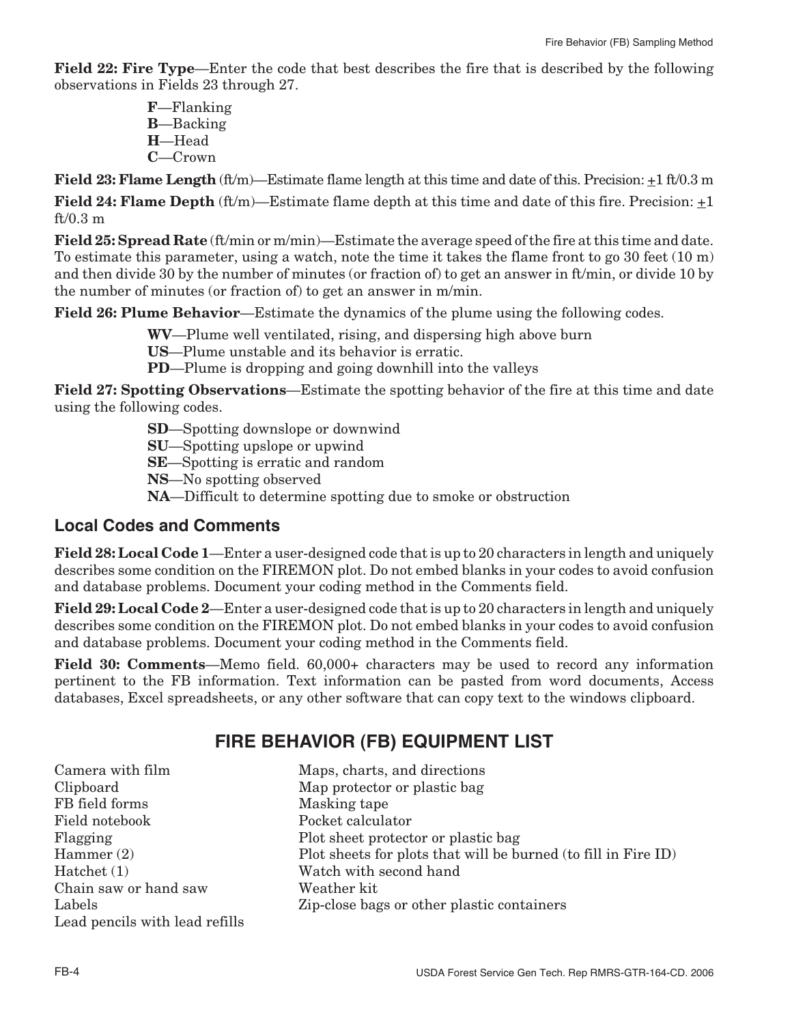**Field 22: Fire Type**—Enter the code that best describes the fire that is described by the following observations in Fields 23 through 27.

> **F**—Flanking **B**—Backing **H**—Head **C**—Crown

**Field 23: Flame Length** (ft/m)—Estimate flame length at this time and date of this. Precision:  $\pm 1$  ft/0.3 m

**Field 24: Flame Depth** (ft/m)—Estimate flame depth at this time and date of this fire. Precision: +1  $ft/0.3 m$ 

**Field 25: Spread Rate** (ft/min or m/min)—Estimate the average speed of the fire at this time and date. To estimate this parameter, using a watch, note the time it takes the flame front to go 30 feet (10 m) and then divide 30 by the number of minutes (or fraction of) to get an answer in ft/min, or divide 10 by the number of minutes (or fraction of) to get an answer in m/min.

**Field 26: Plume Behavior**—Estimate the dynamics of the plume using the following codes.

**WV**—Plume well ventilated, rising, and dispersing high above burn

**US**—Plume unstable and its behavior is erratic.

**PD**—Plume is dropping and going downhill into the valleys

**Field 27: Spotting Observations**—Estimate the spotting behavior of the fire at this time and date using the following codes.

**SD**—Spotting downslope or downwind

**SU**—Spotting upslope or upwind

**SE**—Spotting is erratic and random

**NS**—No spotting observed

**NA**—Difficult to determine spotting due to smoke or obstruction

#### **Local Codes and Comments**

**Field 28: Local Code 1**—Enter a user-designed code that is up to 20 characters in length and uniquely describes some condition on the FIREMON plot. Do not embed blanks in your codes to avoid confusion and database problems. Document your coding method in the Comments field.

**Field 29: Local Code 2**—Enter a user-designed code that is up to 20 characters in length and uniquely describes some condition on the FIREMON plot. Do not embed blanks in your codes to avoid confusion and database problems. Document your coding method in the Comments field.

**Field 30: Comments**—Memo field. 60,000+ characters may be used to record any information pertinent to the FB information. Text information can be pasted from word documents, Access databases, Excel spreadsheets, or any other software that can copy text to the windows clipboard.

## **FIRE BEHAVIOR (FB) EQUIPMENT LIST**

| Camera with film               | Maps, charts, and directions                                   |
|--------------------------------|----------------------------------------------------------------|
| Clipboard                      | Map protector or plastic bag                                   |
| FB field forms                 | Masking tape                                                   |
| Field notebook                 | Pocket calculator                                              |
| Flagging                       | Plot sheet protector or plastic bag                            |
| Hammer $(2)$                   | Plot sheets for plots that will be burned (to fill in Fire ID) |
| Hatchet (1)                    | Watch with second hand                                         |
| Chain saw or hand saw          | Weather kit                                                    |
| Labels                         | Zip-close bags or other plastic containers                     |
| Lead pencils with lead refills |                                                                |